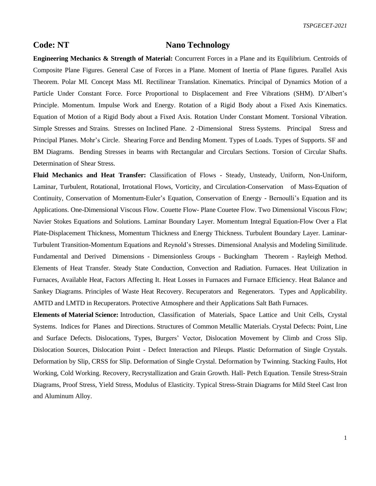## **Code: NT Nano Technology**

**Engineering Mechanics & Strength of Material:** Concurrent Forces in a Plane and its Equilibrium. Centroids of Composite Plane Figures. General Case of Forces in a Plane. Moment of Inertia of Plane figures. Parallel Axis Theorem. Polar MI. Concept Mass MI. Rectilinear Translation. Kinematics. Principal of Dynamics Motion of a Particle Under Constant Force. Force Proportional to Displacement and Free Vibrations (SHM). D'Albert's Principle. Momentum. Impulse Work and Energy. Rotation of a Rigid Body about a Fixed Axis Kinematics. Equation of Motion of a Rigid Body about a Fixed Axis. Rotation Under Constant Moment. Torsional Vibration. Simple Stresses and Strains. Stresses on Inclined Plane. 2 -Dimensional Stress Systems. Principal Stress and Principal Planes. Mohr's Circle. Shearing Force and Bending Moment. Types of Loads. Types of Supports. SF and BM Diagrams. Bending Stresses in beams with Rectangular and Circulars Sections. Torsion of Circular Shafts. Determination of Shear Stress.

**Fluid Mechanics and Heat Transfer:** Classification of Flows - Steady, Unsteady, Uniform, Non-Uniform, Laminar, Turbulent, Rotational, Irrotational Flows, Vorticity, and Circulation-Conservation of Mass-Equation of Continuity, Conservation of Momentum-Euler's Equation, Conservation of Energy - Bernoulli's Equation and its Applications. One-Dimensional Viscous Flow. Couette Flow- Plane Couetee Flow. Two Dimensional Viscous Flow; Navier Stokes Equations and Solutions. Laminar Boundary Layer. Momentum Integral Equation-Flow Over a Flat Plate-Displacement Thickness, Momentum Thickness and Energy Thickness. Turbulent Boundary Layer. Laminar-Turbulent Transition-Momentum Equations and Reynold's Stresses. Dimensional Analysis and Modeling Similitude. Fundamental and Derived Dimensions - Dimensionless Groups - Buckingham Theorem - Rayleigh Method. Elements of Heat Transfer. Steady State Conduction, Convection and Radiation. Furnaces. Heat Utilization in Furnaces, Available Heat, Factors Affecting It. Heat Losses in Furnaces and Furnace Efficiency. Heat Balance and Sankey Diagrams. Principles of Waste Heat Recovery. Recuperators and Regenerators. Types and Applicability. AMTD and LMTD in Recuperators. Protective Atmosphere and their Applications Salt Bath Furnaces.

**Elements of Material Science:** Introduction, Classification of Materials, Space Lattice and Unit Cells, Crystal Systems. Indices for Planes and Directions. Structures of Common Metallic Materials. Crystal Defects: Point, Line and Surface Defects. Dislocations, Types, Burgers' Vector, Dislocation Movement by Climb and Cross Slip. Dislocation Sources, Dislocation Point - Defect Interaction and Pileups. Plastic Deformation of Single Crystals. Deformation by Slip, CRSS for Slip. Deformation of Single Crystal. Deformation by Twinning. Stacking Faults, Hot Working, Cold Working. Recovery, Recrystallization and Grain Growth. Hall- Petch Equation. Tensile Stress-Strain Diagrams, Proof Stress, Yield Stress, Modulus of Elasticity. Typical Stress-Strain Diagrams for Mild Steel Cast Iron and Aluminum Alloy.